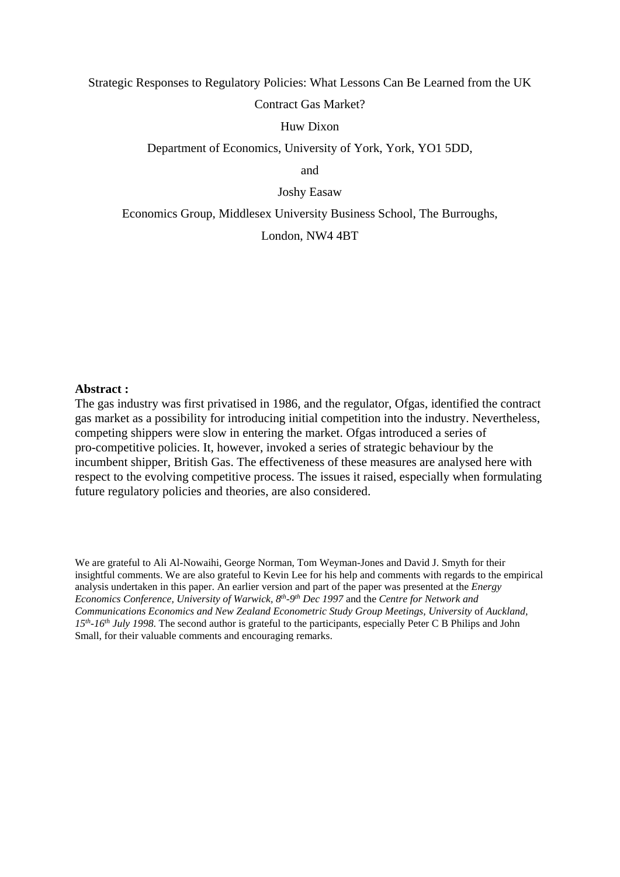Strategic Responses to Regulatory Policies: What Lessons Can Be Learned from the UK

Contract Gas Market?

Huw Dixon

Department of Economics, University of York, York, YO1 5DD,

and

Joshy Easaw

Economics Group, Middlesex University Business School, The Burroughs,

London, NW4 4BT

#### **Abstract :**

The gas industry was first privatised in 1986, and the regulator, Ofgas, identified the contract gas market as a possibility for introducing initial competition into the industry. Nevertheless, competing shippers were slow in entering the market. Ofgas introduced a series of pro-competitive policies. It, however, invoked a series of strategic behaviour by the incumbent shipper, British Gas. The effectiveness of these measures are analysed here with respect to the evolving competitive process. The issues it raised, especially when formulating future regulatory policies and theories, are also considered.

We are grateful to Ali Al-Nowaihi, George Norman, Tom Weyman-Jones and David J. Smyth for their insightful comments. We are also grateful to Kevin Lee for his help and comments with regards to the empirical analysis undertaken in this paper. An earlier version and part of the paper was presented at the *Energy Economics Conference, University of Warwick, 8th-9th Dec 1997* and the *Centre for Network and Communications Economics and New Zealand Econometric Study Group Meetings, University* of *Auckland, 15th-16th July 1998*. The second author is grateful to the participants, especially Peter C B Philips and John Small, for their valuable comments and encouraging remarks.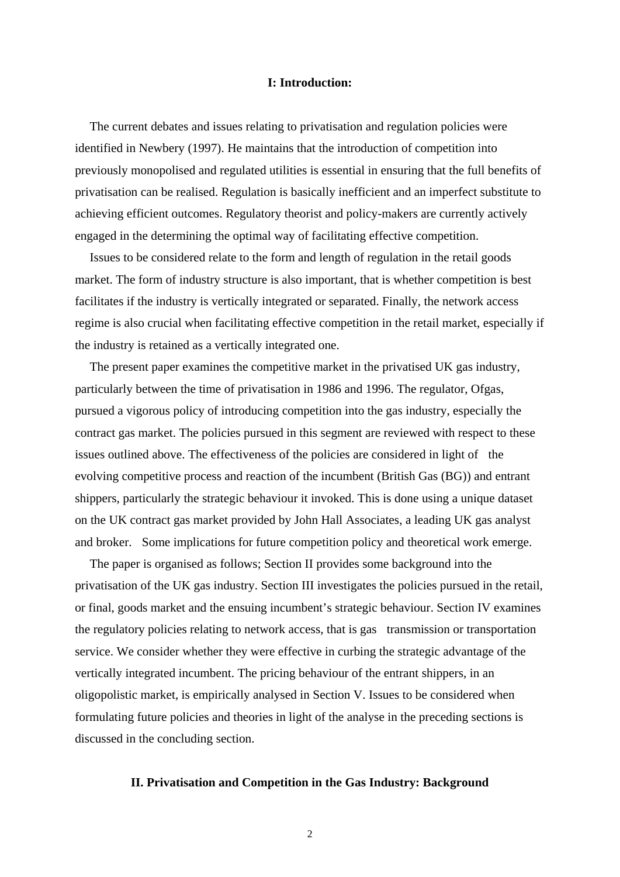#### **I: Introduction:**

The current debates and issues relating to privatisation and regulation policies were identified in Newbery (1997). He maintains that the introduction of competition into previously monopolised and regulated utilities is essential in ensuring that the full benefits of privatisation can be realised. Regulation is basically inefficient and an imperfect substitute to achieving efficient outcomes. Regulatory theorist and policy-makers are currently actively engaged in the determining the optimal way of facilitating effective competition.

Issues to be considered relate to the form and length of regulation in the retail goods market. The form of industry structure is also important, that is whether competition is best facilitates if the industry is vertically integrated or separated. Finally, the network access regime is also crucial when facilitating effective competition in the retail market, especially if the industry is retained as a vertically integrated one.

The present paper examines the competitive market in the privatised UK gas industry, particularly between the time of privatisation in 1986 and 1996. The regulator, Ofgas, pursued a vigorous policy of introducing competition into the gas industry, especially the contract gas market. The policies pursued in this segment are reviewed with respect to these issues outlined above. The effectiveness of the policies are considered in light of the evolving competitive process and reaction of the incumbent (British Gas (BG)) and entrant shippers, particularly the strategic behaviour it invoked. This is done using a unique dataset on the UK contract gas market provided by John Hall Associates, a leading UK gas analyst and broker. Some implications for future competition policy and theoretical work emerge.

The paper is organised as follows; Section II provides some background into the privatisation of the UK gas industry. Section III investigates the policies pursued in the retail, or final, goods market and the ensuing incumbent's strategic behaviour. Section IV examines the regulatory policies relating to network access, that is gas transmission or transportation service. We consider whether they were effective in curbing the strategic advantage of the vertically integrated incumbent. The pricing behaviour of the entrant shippers, in an oligopolistic market, is empirically analysed in Section V. Issues to be considered when formulating future policies and theories in light of the analyse in the preceding sections is discussed in the concluding section.

#### **II. Privatisation and Competition in the Gas Industry: Background**

2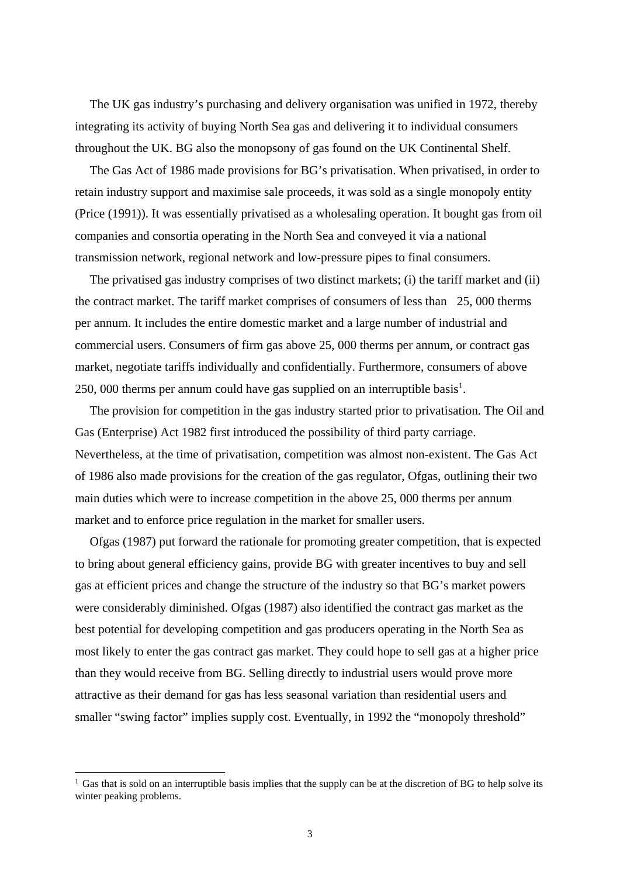The UK gas industry's purchasing and delivery organisation was unified in 1972, thereby integrating its activity of buying North Sea gas and delivering it to individual consumers throughout the UK. BG also the monopsony of gas found on the UK Continental Shelf.

The Gas Act of 1986 made provisions for BG's privatisation. When privatised, in order to retain industry support and maximise sale proceeds, it was sold as a single monopoly entity (Price (1991)). It was essentially privatised as a wholesaling operation. It bought gas from oil companies and consortia operating in the North Sea and conveyed it via a national transmission network, regional network and low-pressure pipes to final consumers.

The privatised gas industry comprises of two distinct markets; (i) the tariff market and (ii) the contract market. The tariff market comprises of consumers of less than 25, 000 therms per annum. It includes the entire domestic market and a large number of industrial and commercial users. Consumers of firm gas above 25, 000 therms per annum, or contract gas market, negotiate tariffs individually and confidentially. Furthermore, consumers of above 250, 000 therms per annum could have gas supplied on an interruptible basis<sup>1</sup>.

The provision for competition in the gas industry started prior to privatisation. The Oil and Gas (Enterprise) Act 1982 first introduced the possibility of third party carriage. Nevertheless, at the time of privatisation, competition was almost non-existent. The Gas Act of 1986 also made provisions for the creation of the gas regulator, Ofgas, outlining their two main duties which were to increase competition in the above 25, 000 therms per annum market and to enforce price regulation in the market for smaller users.

Ofgas (1987) put forward the rationale for promoting greater competition, that is expected to bring about general efficiency gains, provide BG with greater incentives to buy and sell gas at efficient prices and change the structure of the industry so that BG's market powers were considerably diminished. Ofgas (1987) also identified the contract gas market as the best potential for developing competition and gas producers operating in the North Sea as most likely to enter the gas contract gas market. They could hope to sell gas at a higher price than they would receive from BG. Selling directly to industrial users would prove more attractive as their demand for gas has less seasonal variation than residential users and smaller "swing factor" implies supply cost. Eventually, in 1992 the "monopoly threshold"

<sup>&</sup>lt;sup>1</sup> Gas that is sold on an interruptible basis implies that the supply can be at the discretion of BG to help solve its winter peaking problems.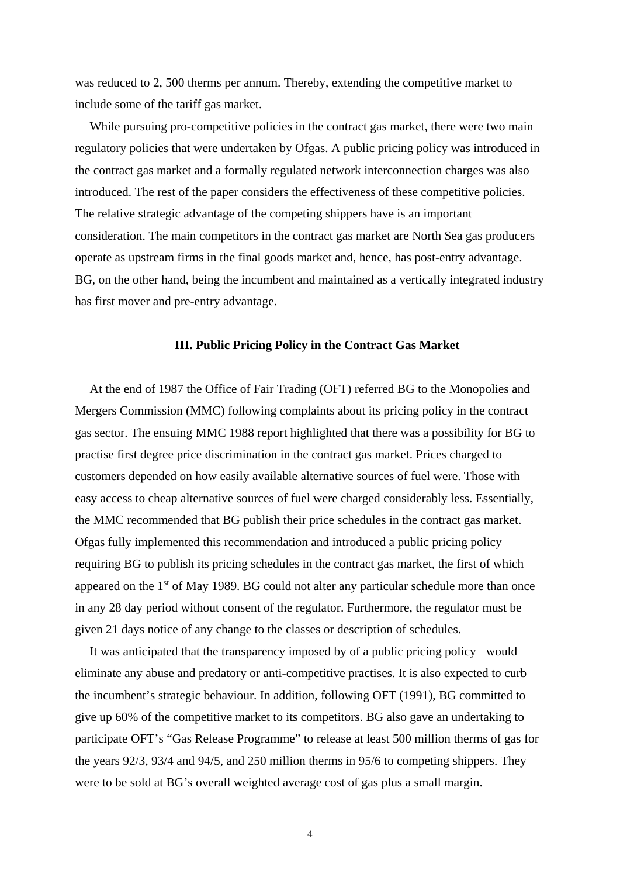was reduced to 2, 500 therms per annum. Thereby, extending the competitive market to include some of the tariff gas market.

While pursuing pro-competitive policies in the contract gas market, there were two main regulatory policies that were undertaken by Ofgas. A public pricing policy was introduced in the contract gas market and a formally regulated network interconnection charges was also introduced. The rest of the paper considers the effectiveness of these competitive policies. The relative strategic advantage of the competing shippers have is an important consideration. The main competitors in the contract gas market are North Sea gas producers operate as upstream firms in the final goods market and, hence, has post-entry advantage. BG, on the other hand, being the incumbent and maintained as a vertically integrated industry has first mover and pre-entry advantage.

#### **III. Public Pricing Policy in the Contract Gas Market**

At the end of 1987 the Office of Fair Trading (OFT) referred BG to the Monopolies and Mergers Commission (MMC) following complaints about its pricing policy in the contract gas sector. The ensuing MMC 1988 report highlighted that there was a possibility for BG to practise first degree price discrimination in the contract gas market. Prices charged to customers depended on how easily available alternative sources of fuel were. Those with easy access to cheap alternative sources of fuel were charged considerably less. Essentially, the MMC recommended that BG publish their price schedules in the contract gas market. Ofgas fully implemented this recommendation and introduced a public pricing policy requiring BG to publish its pricing schedules in the contract gas market, the first of which appeared on the  $1<sup>st</sup>$  of May 1989. BG could not alter any particular schedule more than once in any 28 day period without consent of the regulator. Furthermore, the regulator must be given 21 days notice of any change to the classes or description of schedules.

It was anticipated that the transparency imposed by of a public pricing policy would eliminate any abuse and predatory or anti-competitive practises. It is also expected to curb the incumbent's strategic behaviour. In addition, following OFT (1991), BG committed to give up 60% of the competitive market to its competitors. BG also gave an undertaking to participate OFT's "Gas Release Programme" to release at least 500 million therms of gas for the years 92/3, 93/4 and 94/5, and 250 million therms in 95/6 to competing shippers. They were to be sold at BG's overall weighted average cost of gas plus a small margin.

4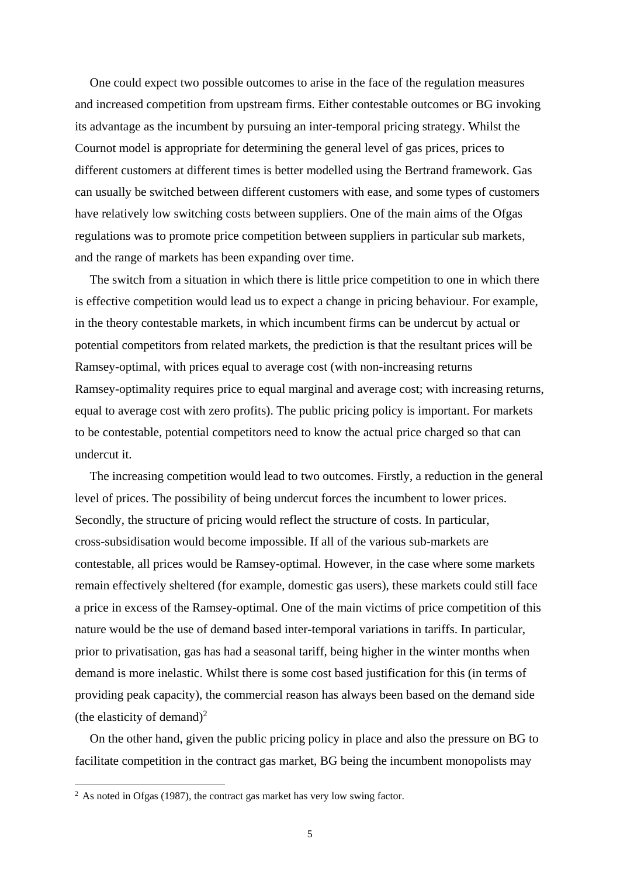One could expect two possible outcomes to arise in the face of the regulation measures and increased competition from upstream firms. Either contestable outcomes or BG invoking its advantage as the incumbent by pursuing an inter-temporal pricing strategy. Whilst the Cournot model is appropriate for determining the general level of gas prices, prices to different customers at different times is better modelled using the Bertrand framework. Gas can usually be switched between different customers with ease, and some types of customers have relatively low switching costs between suppliers. One of the main aims of the Ofgas regulations was to promote price competition between suppliers in particular sub markets, and the range of markets has been expanding over time.

The switch from a situation in which there is little price competition to one in which there is effective competition would lead us to expect a change in pricing behaviour. For example, in the theory contestable markets, in which incumbent firms can be undercut by actual or potential competitors from related markets, the prediction is that the resultant prices will be Ramsey-optimal, with prices equal to average cost (with non-increasing returns Ramsey-optimality requires price to equal marginal and average cost; with increasing returns, equal to average cost with zero profits). The public pricing policy is important. For markets to be contestable, potential competitors need to know the actual price charged so that can undercut it.

The increasing competition would lead to two outcomes. Firstly, a reduction in the general level of prices. The possibility of being undercut forces the incumbent to lower prices. Secondly, the structure of pricing would reflect the structure of costs. In particular, cross-subsidisation would become impossible. If all of the various sub-markets are contestable, all prices would be Ramsey-optimal. However, in the case where some markets remain effectively sheltered (for example, domestic gas users), these markets could still face a price in excess of the Ramsey-optimal. One of the main victims of price competition of this nature would be the use of demand based inter-temporal variations in tariffs. In particular, prior to privatisation, gas has had a seasonal tariff, being higher in the winter months when demand is more inelastic. Whilst there is some cost based justification for this (in terms of providing peak capacity), the commercial reason has always been based on the demand side (the elasticity of demand)<sup>2</sup>

On the other hand, given the public pricing policy in place and also the pressure on BG to facilitate competition in the contract gas market, BG being the incumbent monopolists may

<sup>&</sup>lt;sup>2</sup> As noted in Ofgas (1987), the contract gas market has very low swing factor.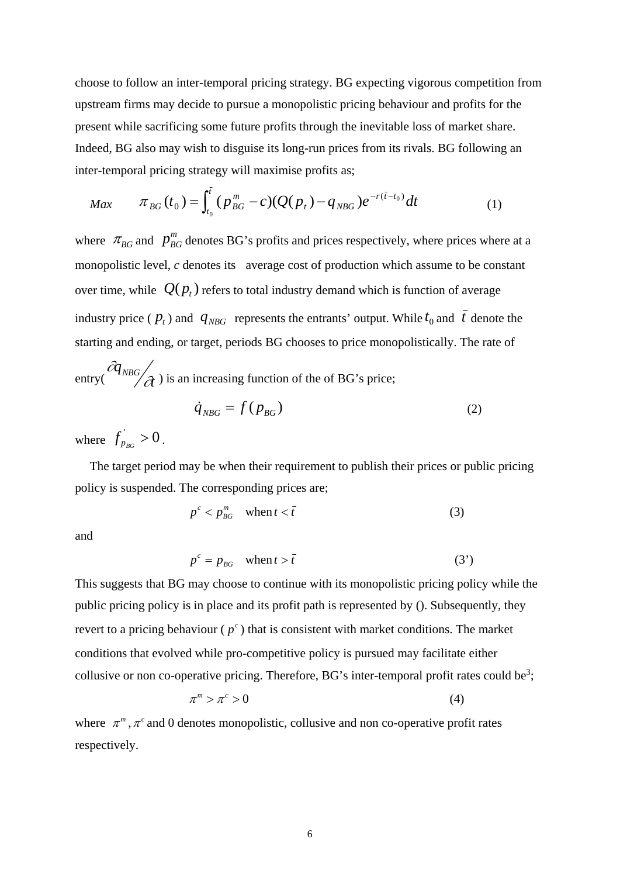choose to follow an inter-temporal pricing strategy. BG expecting vigorous competition from upstream firms may decide to pursue a monopolistic pricing behaviour and profits for the present while sacrificing some future profits through the inevitable loss of market share. Indeed, BG also may wish to disguise its long-run prices from its rivals. BG following an inter-temporal pricing strategy will maximise profits as;

$$
Max \t \pi_{BG}(t_0) = \int_{t_0}^{\bar{t}} (p_{BG}^m - c)(Q(p_t) - q_{NBG})e^{-r(\bar{t}-t_0)} dt \t (1)
$$

where  $\pi_{BG}$  and  $p_{BG}^m$  denotes BG's profits and prices respectively, where prices where at a monopolistic level, *c* denotes its average cost of production which assume to be constant over time, while  $Q(p_t)$  refers to total industry demand which is function of average industry price ( $p_t$ ) and  $q_{NBG}$  represents the entrants' output. While  $t_0$  and  $\bar{t}$  denote the starting and ending, or target, periods BG chooses to price monopolistically. The rate of a *q*

entry( д  $\frac{NBG}{\hat{C}}$  ) is an increasing function of the of BG's price;

$$
\dot{q}_{NBG} = f(p_{BG})\tag{2}
$$

where  $f'_{p_{BG}} > 0$ .

The target period may be when their requirement to publish their prices or public pricing policy is suspended. The corresponding prices are;

$$
p^{c} < p_{BG}^{m} \quad \text{when } t < \bar{t} \tag{3}
$$

and

$$
p^{c} = p_{BG} \quad \text{when } t > \bar{t} \tag{3'}
$$

This suggests that BG may choose to continue with its monopolistic pricing policy while the public pricing policy is in place and its profit path is represented by (). Subsequently, they revert to a pricing behaviour ( $p^c$ ) that is consistent with market conditions. The market conditions that evolved while pro-competitive policy is pursued may facilitate either collusive or non co-operative pricing. Therefore, BG's inter-temporal profit rates could be<sup>3</sup>;

$$
\pi^m > \pi^c > 0\tag{4}
$$

where  $\pi^m$ ,  $\pi^c$  and 0 denotes monopolistic, collusive and non co-operative profit rates respectively.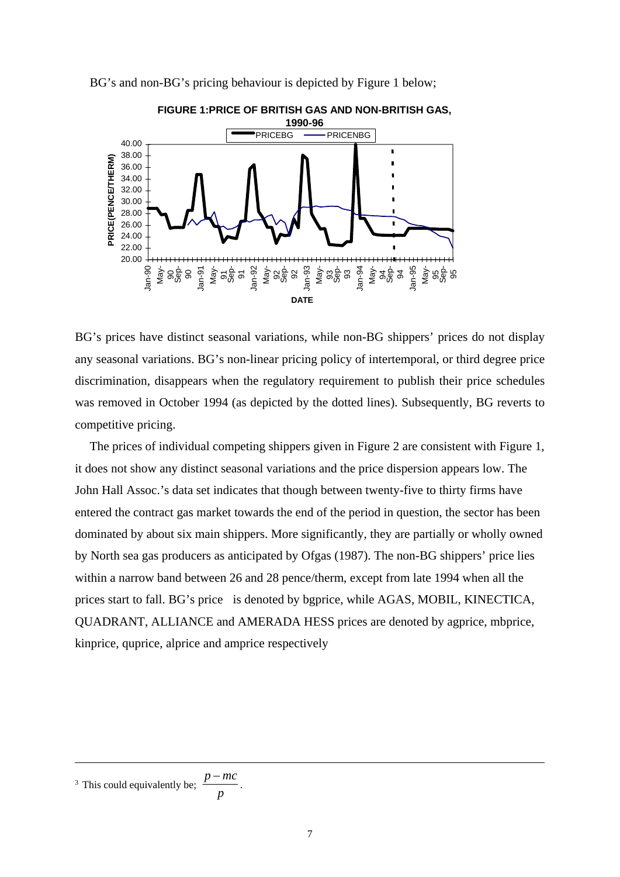

BG's and non-BG's pricing behaviour is depicted by Figure 1 below;

BG's prices have distinct seasonal variations, while non-BG shippers' prices do not display any seasonal variations. BG's non-linear pricing policy of intertemporal, or third degree price discrimination, disappears when the regulatory requirement to publish their price schedules was removed in October 1994 (as depicted by the dotted lines). Subsequently, BG reverts to competitive pricing.

The prices of individual competing shippers given in Figure 2 are consistent with Figure 1, it does not show any distinct seasonal variations and the price dispersion appears low. The John Hall Assoc.'s data set indicates that though between twenty-five to thirty firms have entered the contract gas market towards the end of the period in question, the sector has been dominated by about six main shippers. More significantly, they are partially or wholly owned by North sea gas producers as anticipated by Ofgas (1987). The non-BG shippers' price lies within a narrow band between 26 and 28 pence/therm, except from late 1994 when all the prices start to fall. BG's price is denoted by bgprice, while AGAS, MOBIL, KINECTICA, QUADRANT, ALLIANCE and AMERADA HESS prices are denoted by agprice, mbprice, kinprice, quprice, alprice and amprice respectively

1

<sup>&</sup>lt;sup>3</sup> This could equivalently be;  $\frac{p - mc}{2}$  $\frac{-mc}{\cdot}$ .

*p*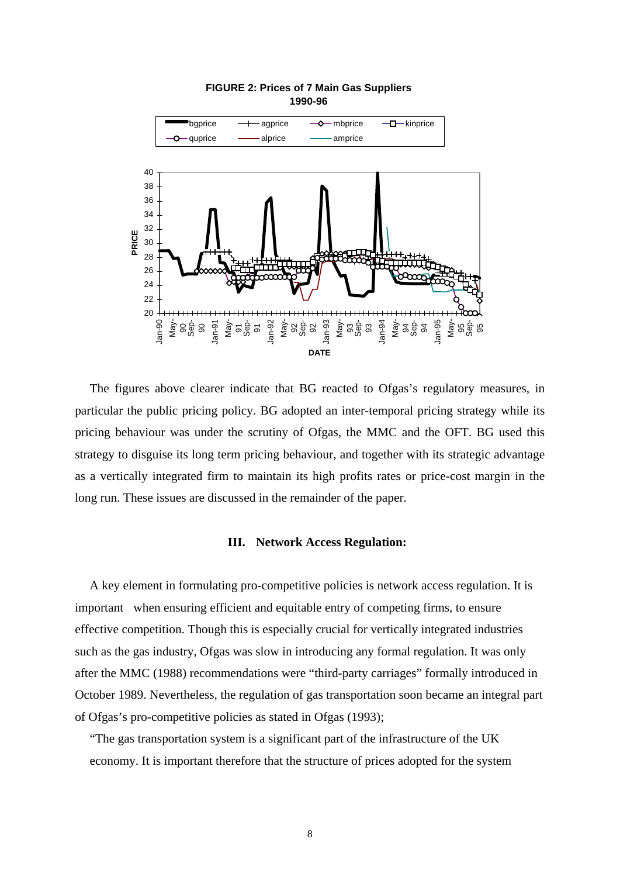

**FIGURE 2: Prices of 7 Main Gas Suppliers 1990-96**

The figures above clearer indicate that BG reacted to Ofgas's regulatory measures, in particular the public pricing policy. BG adopted an inter-temporal pricing strategy while its pricing behaviour was under the scrutiny of Ofgas, the MMC and the OFT. BG used this strategy to disguise its long term pricing behaviour, and together with its strategic advantage as a vertically integrated firm to maintain its high profits rates or price-cost margin in the long run. These issues are discussed in the remainder of the paper.

### **III. Network Access Regulation:**

A key element in formulating pro-competitive policies is network access regulation. It is important when ensuring efficient and equitable entry of competing firms, to ensure effective competition. Though this is especially crucial for vertically integrated industries such as the gas industry, Ofgas was slow in introducing any formal regulation. It was only after the MMC (1988) recommendations were "third-party carriages" formally introduced in October 1989. Nevertheless, the regulation of gas transportation soon became an integral part of Ofgas's pro-competitive policies as stated in Ofgas (1993);

"The gas transportation system is a significant part of the infrastructure of the UK economy. It is important therefore that the structure of prices adopted for the system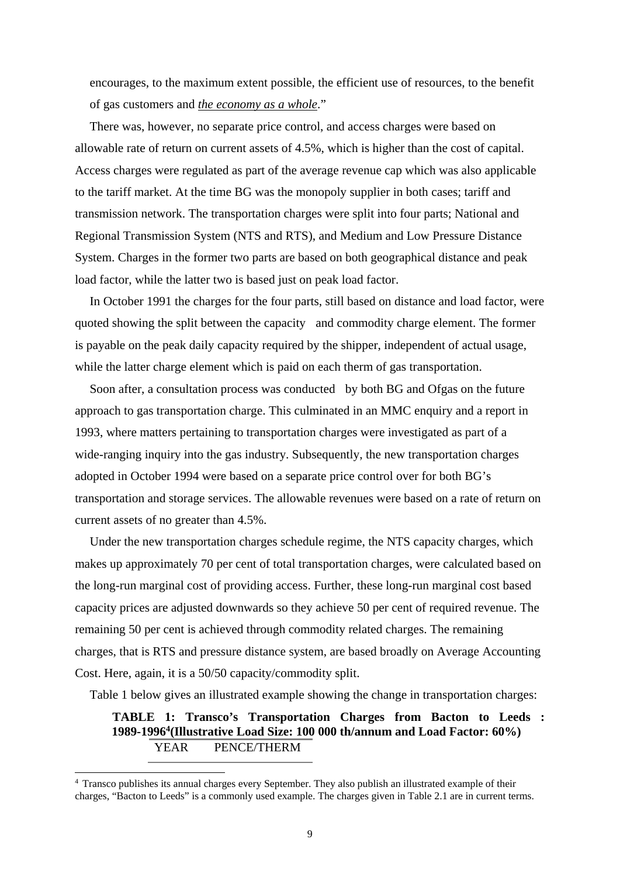encourages, to the maximum extent possible, the efficient use of resources, to the benefit of gas customers and *the economy as a whole*."

There was, however, no separate price control, and access charges were based on allowable rate of return on current assets of 4.5%, which is higher than the cost of capital. Access charges were regulated as part of the average revenue cap which was also applicable to the tariff market. At the time BG was the monopoly supplier in both cases; tariff and transmission network. The transportation charges were split into four parts; National and Regional Transmission System (NTS and RTS), and Medium and Low Pressure Distance System. Charges in the former two parts are based on both geographical distance and peak load factor, while the latter two is based just on peak load factor.

In October 1991 the charges for the four parts, still based on distance and load factor, were quoted showing the split between the capacity and commodity charge element. The former is payable on the peak daily capacity required by the shipper, independent of actual usage, while the latter charge element which is paid on each therm of gas transportation.

Soon after, a consultation process was conducted by both BG and Ofgas on the future approach to gas transportation charge. This culminated in an MMC enquiry and a report in 1993, where matters pertaining to transportation charges were investigated as part of a wide-ranging inquiry into the gas industry. Subsequently, the new transportation charges adopted in October 1994 were based on a separate price control over for both BG's transportation and storage services. The allowable revenues were based on a rate of return on current assets of no greater than 4.5%.

Under the new transportation charges schedule regime, the NTS capacity charges, which makes up approximately 70 per cent of total transportation charges, were calculated based on the long-run marginal cost of providing access. Further, these long-run marginal cost based capacity prices are adjusted downwards so they achieve 50 per cent of required revenue. The remaining 50 per cent is achieved through commodity related charges. The remaining charges, that is RTS and pressure distance system, are based broadly on Average Accounting Cost. Here, again, it is a 50/50 capacity/commodity split.

Table 1 below gives an illustrated example showing the change in transportation charges:

# **TABLE 1: Transco's Transportation Charges from Bacton to Leeds : 1989-19964 (Illustrative Load Size: 100 000 th/annum and Load Factor: 60%)**  YEAR PENCE/THERM

<sup>4</sup> Transco publishes its annual charges every September. They also publish an illustrated example of their charges, "Bacton to Leeds" is a commonly used example. The charges given in Table 2.1 are in current terms.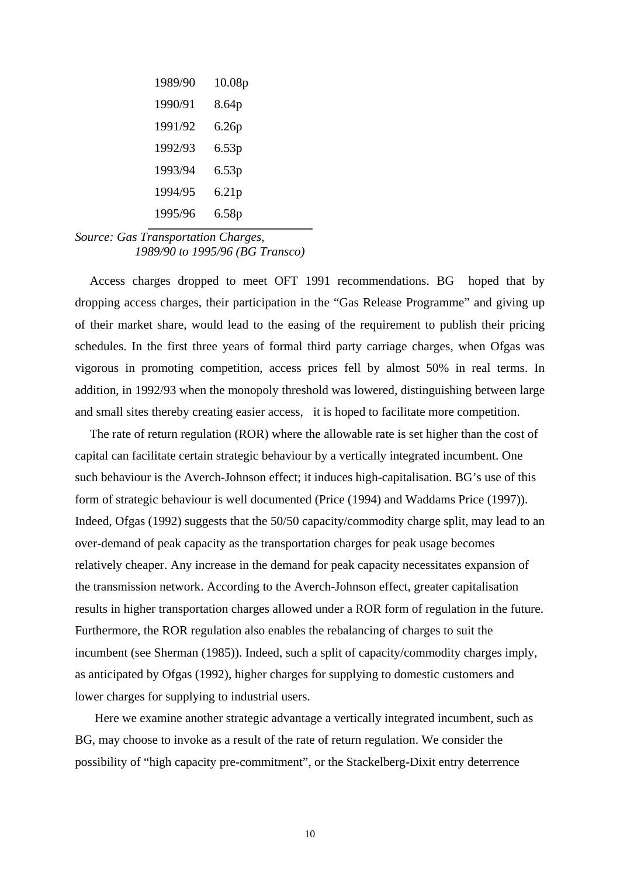| 1989/90 | 10.08p |  |
|---------|--------|--|
| 1990/91 | 8.64p  |  |
| 1991/92 | 6.26p  |  |
| 1992/93 | 6.53p  |  |
| 1993/94 | 6.53p  |  |
| 1994/95 | 6.21p  |  |
| 1995/96 | 6.58p  |  |

# *Source: Gas Transportation Charges, 1989/90 to 1995/96 (BG Transco)*

Access charges dropped to meet OFT 1991 recommendations. BG hoped that by dropping access charges, their participation in the "Gas Release Programme" and giving up of their market share, would lead to the easing of the requirement to publish their pricing schedules. In the first three years of formal third party carriage charges, when Ofgas was vigorous in promoting competition, access prices fell by almost 50% in real terms. In addition, in 1992/93 when the monopoly threshold was lowered, distinguishing between large and small sites thereby creating easier access, it is hoped to facilitate more competition.

The rate of return regulation (ROR) where the allowable rate is set higher than the cost of capital can facilitate certain strategic behaviour by a vertically integrated incumbent. One such behaviour is the Averch-Johnson effect; it induces high-capitalisation. BG's use of this form of strategic behaviour is well documented (Price (1994) and Waddams Price (1997)). Indeed, Ofgas (1992) suggests that the 50/50 capacity/commodity charge split, may lead to an over-demand of peak capacity as the transportation charges for peak usage becomes relatively cheaper. Any increase in the demand for peak capacity necessitates expansion of the transmission network. According to the Averch-Johnson effect, greater capitalisation results in higher transportation charges allowed under a ROR form of regulation in the future. Furthermore, the ROR regulation also enables the rebalancing of charges to suit the incumbent (see Sherman (1985)). Indeed, such a split of capacity/commodity charges imply, as anticipated by Ofgas (1992), higher charges for supplying to domestic customers and lower charges for supplying to industrial users.

 Here we examine another strategic advantage a vertically integrated incumbent, such as BG, may choose to invoke as a result of the rate of return regulation. We consider the possibility of "high capacity pre-commitment", or the Stackelberg-Dixit entry deterrence

10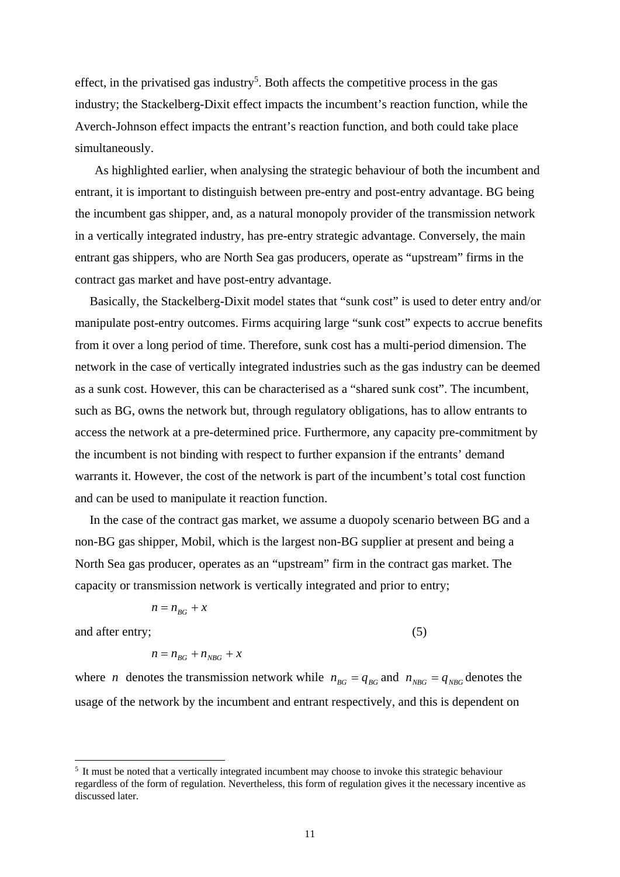effect, in the privatised gas industry<sup>5</sup>. Both affects the competitive process in the gas industry; the Stackelberg-Dixit effect impacts the incumbent's reaction function, while the Averch-Johnson effect impacts the entrant's reaction function, and both could take place simultaneously.

 As highlighted earlier, when analysing the strategic behaviour of both the incumbent and entrant, it is important to distinguish between pre-entry and post-entry advantage. BG being the incumbent gas shipper, and, as a natural monopoly provider of the transmission network in a vertically integrated industry, has pre-entry strategic advantage. Conversely, the main entrant gas shippers, who are North Sea gas producers, operate as "upstream" firms in the contract gas market and have post-entry advantage.

Basically, the Stackelberg-Dixit model states that "sunk cost" is used to deter entry and/or manipulate post-entry outcomes. Firms acquiring large "sunk cost" expects to accrue benefits from it over a long period of time. Therefore, sunk cost has a multi-period dimension. The network in the case of vertically integrated industries such as the gas industry can be deemed as a sunk cost. However, this can be characterised as a "shared sunk cost". The incumbent, such as BG, owns the network but, through regulatory obligations, has to allow entrants to access the network at a pre-determined price. Furthermore, any capacity pre-commitment by the incumbent is not binding with respect to further expansion if the entrants' demand warrants it. However, the cost of the network is part of the incumbent's total cost function and can be used to manipulate it reaction function.

In the case of the contract gas market, we assume a duopoly scenario between BG and a non-BG gas shipper, Mobil, which is the largest non-BG supplier at present and being a North Sea gas producer, operates as an "upstream" firm in the contract gas market. The capacity or transmission network is vertically integrated and prior to entry;

$$
n = n_{BG} + x
$$

and after entry; (5)

-

$$
n=n_{BG}+n_{\textit{NBG}}+x
$$

where *n* denotes the transmission network while  $n_{BG} = q_{BG}$  and  $n_{NBG} = q_{NBG}$  denotes the usage of the network by the incumbent and entrant respectively, and this is dependent on

<sup>&</sup>lt;sup>5</sup> It must be noted that a vertically integrated incumbent may choose to invoke this strategic behaviour regardless of the form of regulation. Nevertheless, this form of regulation gives it the necessary incentive as discussed later.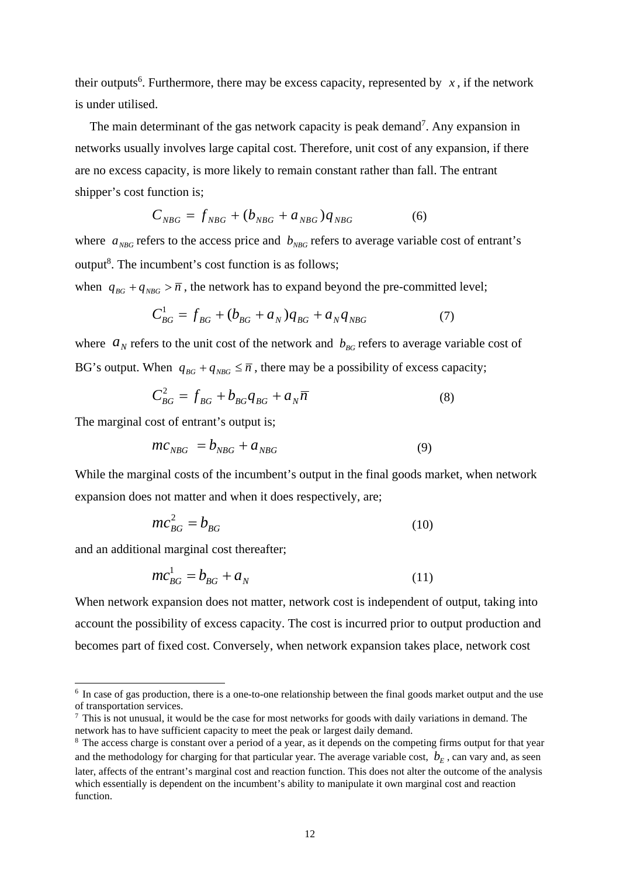their outputs<sup>6</sup>. Furthermore, there may be excess capacity, represented by  $x$ , if the network is under utilised.

The main determinant of the gas network capacity is peak demand<sup>7</sup>. Any expansion in networks usually involves large capital cost. Therefore, unit cost of any expansion, if there are no excess capacity, is more likely to remain constant rather than fall. The entrant shipper's cost function is;

$$
C_{NBG} = f_{NBG} + (b_{NBG} + a_{NBG})q_{NBG}
$$
 (6)

where  $a_{NBG}$  refers to the access price and  $b_{NBG}$  refers to average variable cost of entrant's output<sup>8</sup>. The incumbent's cost function is as follows;

when  $q_{BG} + q_{NBG} > \overline{n}$ , the network has to expand beyond the pre-committed level;

$$
C_{BG}^1 = f_{BG} + (b_{BG} + a_N)q_{BG} + a_N q_{NBG}
$$
 (7)

where  $a_N$  refers to the unit cost of the network and  $b_{BG}$  refers to average variable cost of BG's output. When  $q_{BG} + q_{NBG} \leq \overline{n}$ , there may be a possibility of excess capacity;

$$
C_{BG}^2 = f_{BG} + b_{BG}q_{BG} + a_N \overline{n}
$$
 (8)

The marginal cost of entrant's output is;

$$
mc_{NBG} = b_{NBG} + a_{NBG} \tag{9}
$$

While the marginal costs of the incumbent's output in the final goods market, when network expansion does not matter and when it does respectively, are;

$$
mc_{BG}^2 = b_{BG} \tag{10}
$$

and an additional marginal cost thereafter;

-

$$
mc_{BG}^1 = b_{BG} + a_N \tag{11}
$$

When network expansion does not matter, network cost is independent of output, taking into account the possibility of excess capacity. The cost is incurred prior to output production and becomes part of fixed cost. Conversely, when network expansion takes place, network cost

<sup>&</sup>lt;sup>6</sup> In case of gas production, there is a one-to-one relationship between the final goods market output and the use of transportation services.

<sup>&</sup>lt;sup>7</sup> This is not unusual, it would be the case for most networks for goods with daily variations in demand. The network has to have sufficient capacity to meet the peak or largest daily demand.

<sup>&</sup>lt;sup>8</sup> The access charge is constant over a period of a year, as it depends on the competing firms output for that year and the methodology for charging for that particular year. The average variable cost,  $b_F$ , can vary and, as seen

later, affects of the entrant's marginal cost and reaction function. This does not alter the outcome of the analysis which essentially is dependent on the incumbent's ability to manipulate it own marginal cost and reaction function.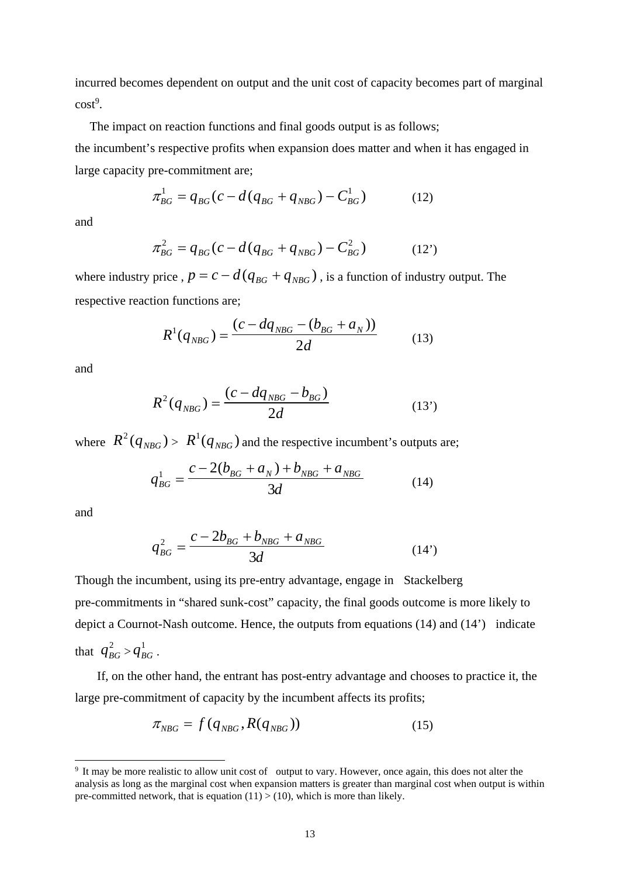incurred becomes dependent on output and the unit cost of capacity becomes part of marginal  $cost^9$ .

The impact on reaction functions and final goods output is as follows;

the incumbent's respective profits when expansion does matter and when it has engaged in large capacity pre-commitment are;

$$
\pi_{BG}^1 = q_{BG}(c - d(q_{BG} + q_{NBG}) - C_{BG}^1)
$$
 (12)

and

$$
\pi_{BG}^2 = q_{BG}(c - d(q_{BG} + q_{NBG}) - C_{BG}^2)
$$
 (12')

where industry price ,  $p = c - d(q_{BG} + q_{NBG})$ , is a function of industry output. The respective reaction functions are;

$$
R^{1}(q_{NBG}) = \frac{(c - dq_{NBG} - (b_{BG} + a_N))}{2d}
$$
 (13)

and

$$
R^{2}(q_{NBG}) = \frac{(c - dq_{NBG} - b_{BG})}{2d}
$$
 (13')

where  $R^2(q_{NBG}) > R^1(q_{NBG})$  and the respective incumbent's outputs are;

$$
q_{BG}^1 = \frac{c - 2(b_{BG} + a_N) + b_{NBG} + a_{NBG}}{3d}
$$
 (14)

and

-

$$
q_{BG}^2 = \frac{c - 2b_{BG} + b_{NBG} + a_{NBG}}{3d}
$$
 (14')

Though the incumbent, using its pre-entry advantage, engage in Stackelberg pre-commitments in "shared sunk-cost" capacity, the final goods outcome is more likely to depict a Cournot-Nash outcome. Hence, the outputs from equations (14) and (14') indicate that  $q_{BG}^2 > q_{BG}^1$ .

If, on the other hand, the entrant has post-entry advantage and chooses to practice it, the large pre-commitment of capacity by the incumbent affects its profits;

$$
\pi_{NBG} = f(q_{NBG}, R(q_{NBG})) \tag{15}
$$

<sup>9</sup> It may be more realistic to allow unit cost of output to vary. However, once again, this does not alter the analysis as long as the marginal cost when expansion matters is greater than marginal cost when output is within pre-committed network, that is equation  $(11)$  >  $(10)$ , which is more than likely.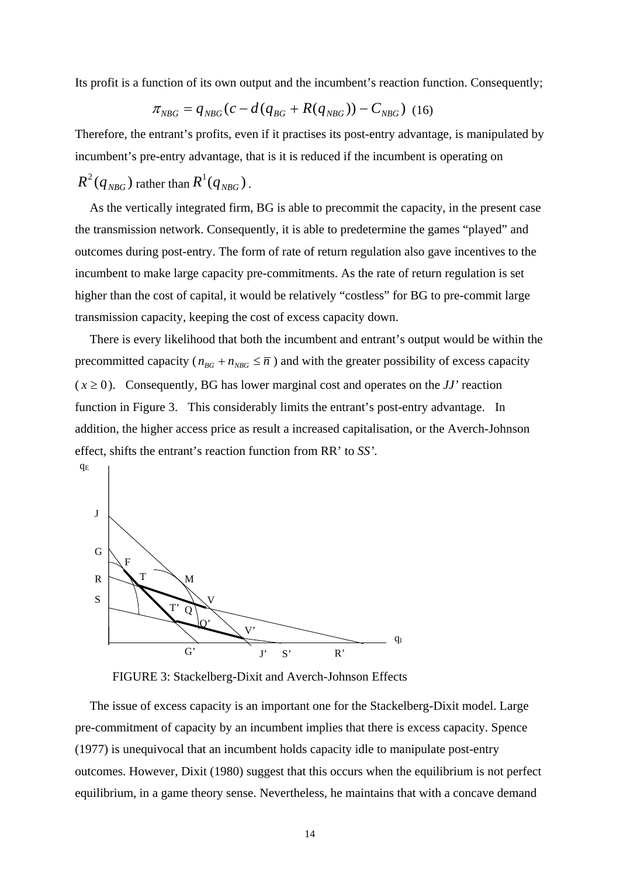Its profit is a function of its own output and the incumbent's reaction function. Consequently;

$$
\pi_{NBG} = q_{NBG}(c - d(q_{BG} + R(q_{NBG})) - C_{NBG})
$$
 (16)

Therefore, the entrant's profits, even if it practises its post-entry advantage, is manipulated by incumbent's pre-entry advantage, that is it is reduced if the incumbent is operating on

$$
R^2(q_{NBG})
$$
 rather than  $R^1(q_{NBG})$ .

As the vertically integrated firm, BG is able to precommit the capacity, in the present case the transmission network. Consequently, it is able to predetermine the games "played" and outcomes during post-entry. The form of rate of return regulation also gave incentives to the incumbent to make large capacity pre-commitments. As the rate of return regulation is set higher than the cost of capital, it would be relatively "costless" for BG to pre-commit large transmission capacity, keeping the cost of excess capacity down.

There is every likelihood that both the incumbent and entrant's output would be within the precommitted capacity ( $n_{BC} + n_{MBC} \leq \overline{n}$ ) and with the greater possibility of excess capacity  $(x \ge 0)$ . Consequently, BG has lower marginal cost and operates on the *JJ'* reaction function in Figure 3. This considerably limits the entrant's post-entry advantage. In addition, the higher access price as result a increased capitalisation, or the Averch-Johnson effect, shifts the entrant's reaction function from RR' to *SS'*. qE



FIGURE 3: Stackelberg-Dixit and Averch-Johnson Effects

The issue of excess capacity is an important one for the Stackelberg-Dixit model. Large pre-commitment of capacity by an incumbent implies that there is excess capacity. Spence (1977) is unequivocal that an incumbent holds capacity idle to manipulate post-entry outcomes. However, Dixit (1980) suggest that this occurs when the equilibrium is not perfect equilibrium, in a game theory sense. Nevertheless, he maintains that with a concave demand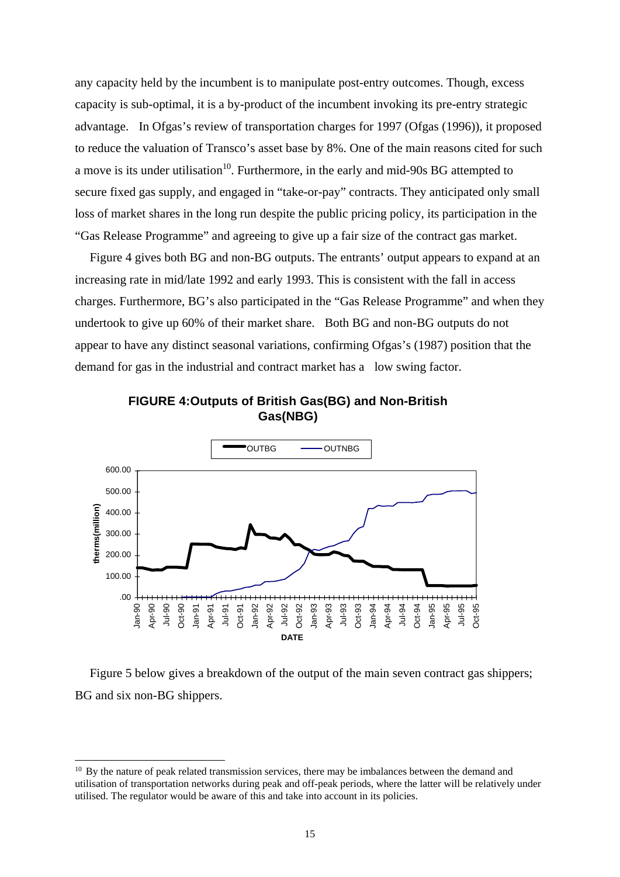any capacity held by the incumbent is to manipulate post-entry outcomes. Though, excess capacity is sub-optimal, it is a by-product of the incumbent invoking its pre-entry strategic advantage. In Ofgas's review of transportation charges for 1997 (Ofgas (1996)), it proposed to reduce the valuation of Transco's asset base by 8%. One of the main reasons cited for such a move is its under utilisation<sup>10</sup>. Furthermore, in the early and mid-90s BG attempted to secure fixed gas supply, and engaged in "take-or-pay" contracts. They anticipated only small loss of market shares in the long run despite the public pricing policy, its participation in the "Gas Release Programme" and agreeing to give up a fair size of the contract gas market.

Figure 4 gives both BG and non-BG outputs. The entrants' output appears to expand at an increasing rate in mid/late 1992 and early 1993. This is consistent with the fall in access charges. Furthermore, BG's also participated in the "Gas Release Programme" and when they undertook to give up 60% of their market share. Both BG and non-BG outputs do not appear to have any distinct seasonal variations, confirming Ofgas's (1987) position that the demand for gas in the industrial and contract market has a low swing factor.



**FIGURE 4:Outputs of British Gas(BG) and Non-British Gas(NBG)** 

Figure 5 below gives a breakdown of the output of the main seven contract gas shippers; BG and six non-BG shippers.

<sup>&</sup>lt;sup>10</sup> By the nature of peak related transmission services, there may be imbalances between the demand and utilisation of transportation networks during peak and off-peak periods, where the latter will be relatively under utilised. The regulator would be aware of this and take into account in its policies.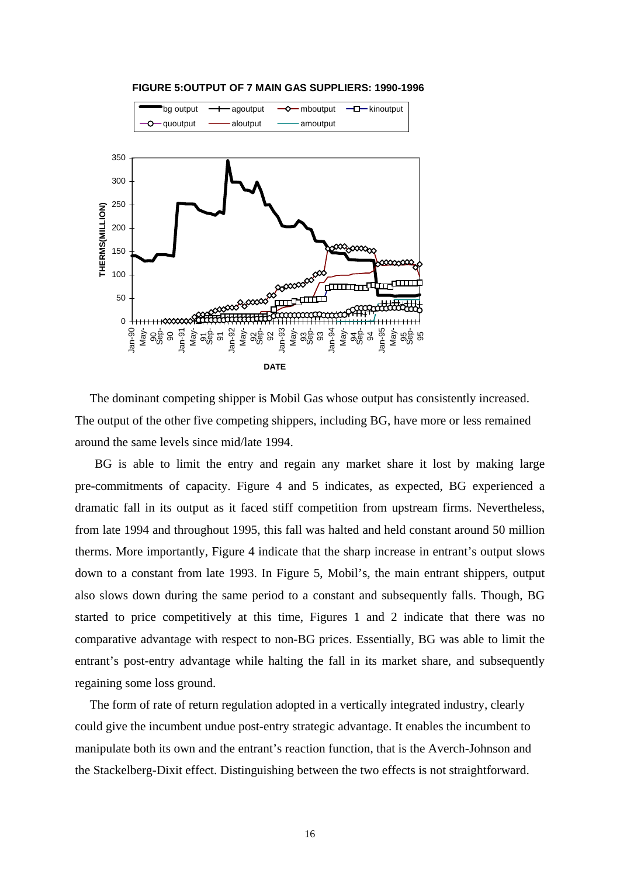

**FIGURE 5:OUTPUT OF 7 MAIN GAS SUPPLIERS: 1990-1996**

The dominant competing shipper is Mobil Gas whose output has consistently increased. The output of the other five competing shippers, including BG, have more or less remained around the same levels since mid/late 1994.

 BG is able to limit the entry and regain any market share it lost by making large pre-commitments of capacity. Figure 4 and 5 indicates, as expected, BG experienced a dramatic fall in its output as it faced stiff competition from upstream firms. Nevertheless, from late 1994 and throughout 1995, this fall was halted and held constant around 50 million therms. More importantly, Figure 4 indicate that the sharp increase in entrant's output slows down to a constant from late 1993. In Figure 5, Mobil's, the main entrant shippers, output also slows down during the same period to a constant and subsequently falls. Though, BG started to price competitively at this time, Figures 1 and 2 indicate that there was no comparative advantage with respect to non-BG prices. Essentially, BG was able to limit the entrant's post-entry advantage while halting the fall in its market share, and subsequently regaining some loss ground.

The form of rate of return regulation adopted in a vertically integrated industry, clearly could give the incumbent undue post-entry strategic advantage. It enables the incumbent to manipulate both its own and the entrant's reaction function, that is the Averch-Johnson and the Stackelberg-Dixit effect. Distinguishing between the two effects is not straightforward.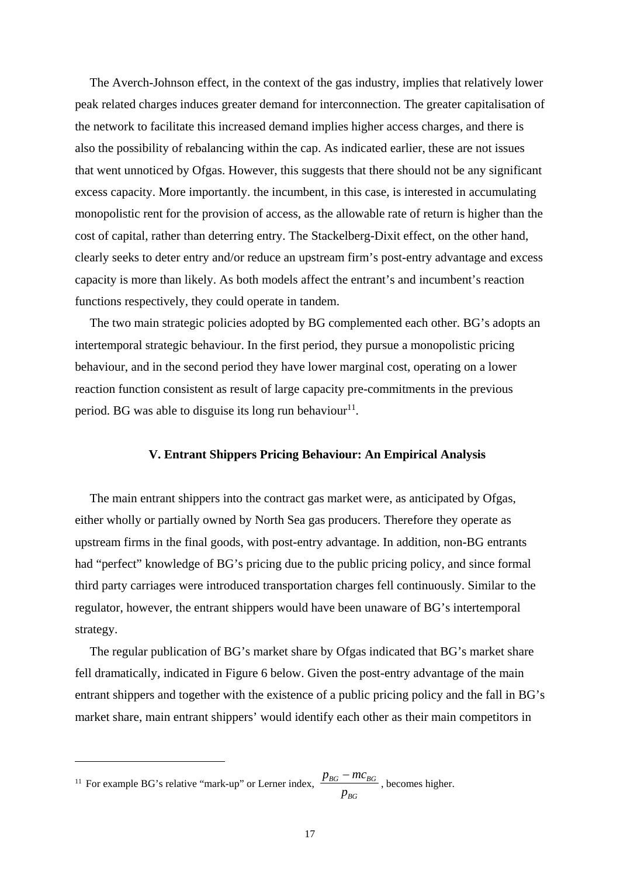The Averch-Johnson effect, in the context of the gas industry, implies that relatively lower peak related charges induces greater demand for interconnection. The greater capitalisation of the network to facilitate this increased demand implies higher access charges, and there is also the possibility of rebalancing within the cap. As indicated earlier, these are not issues that went unnoticed by Ofgas. However, this suggests that there should not be any significant excess capacity. More importantly. the incumbent, in this case, is interested in accumulating monopolistic rent for the provision of access, as the allowable rate of return is higher than the cost of capital, rather than deterring entry. The Stackelberg-Dixit effect, on the other hand, clearly seeks to deter entry and/or reduce an upstream firm's post-entry advantage and excess capacity is more than likely. As both models affect the entrant's and incumbent's reaction functions respectively, they could operate in tandem.

The two main strategic policies adopted by BG complemented each other. BG's adopts an intertemporal strategic behaviour. In the first period, they pursue a monopolistic pricing behaviour, and in the second period they have lower marginal cost, operating on a lower reaction function consistent as result of large capacity pre-commitments in the previous period. BG was able to disguise its long run behaviour<sup>11</sup>.

#### **V. Entrant Shippers Pricing Behaviour: An Empirical Analysis**

The main entrant shippers into the contract gas market were, as anticipated by Ofgas, either wholly or partially owned by North Sea gas producers. Therefore they operate as upstream firms in the final goods, with post-entry advantage. In addition, non-BG entrants had "perfect" knowledge of BG's pricing due to the public pricing policy, and since formal third party carriages were introduced transportation charges fell continuously. Similar to the regulator, however, the entrant shippers would have been unaware of BG's intertemporal strategy.

The regular publication of BG's market share by Ofgas indicated that BG's market share fell dramatically, indicated in Figure 6 below. Given the post-entry advantage of the main entrant shippers and together with the existence of a public pricing policy and the fall in BG's market share, main entrant shippers' would identify each other as their main competitors in

<sup>&</sup>lt;sup>11</sup> For example BG's relative "mark-up" or Lerner index,  $\frac{p_{BG} - mc}{p_{GG}}$ *p*  $BG \qquad \qquad H \cup B$ *BG*  $\frac{-mc_{BG}}{mc_{BG}}$ , becomes higher.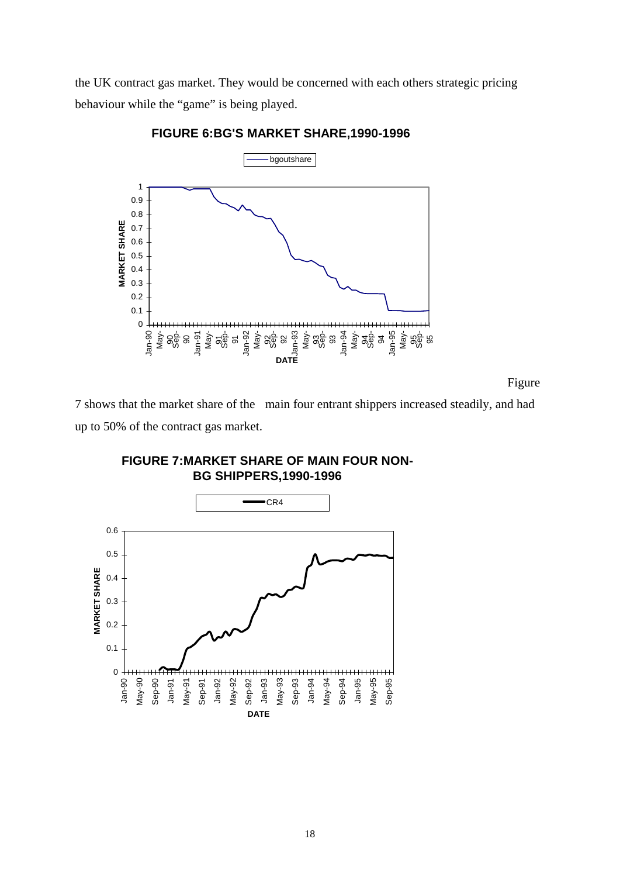the UK contract gas market. They would be concerned with each others strategic pricing behaviour while the "game" is being played.



## **FIGURE 6:BG'S MARKET SHARE,1990-1996**

Figure

7 shows that the market share of the main four entrant shippers increased steadily, and had up to 50% of the contract gas market.



# **FIGURE 7:MARKET SHARE OF MAIN FOUR NON-BG SHIPPERS,1990-1996**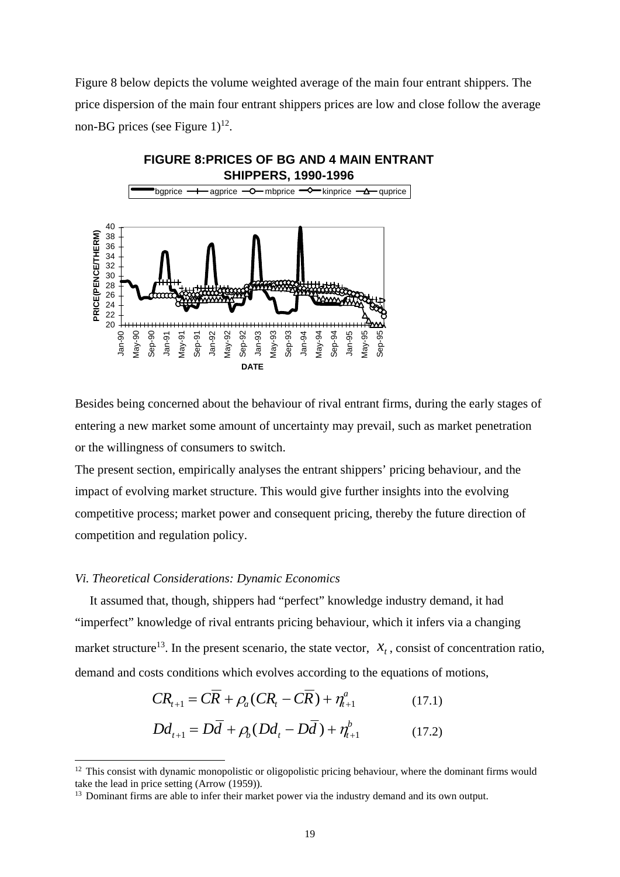Figure 8 below depicts the volume weighted average of the main four entrant shippers. The price dispersion of the main four entrant shippers prices are low and close follow the average non-BG prices (see Figure  $1$ )<sup>12</sup>.



Besides being concerned about the behaviour of rival entrant firms, during the early stages of entering a new market some amount of uncertainty may prevail, such as market penetration or the willingness of consumers to switch.

The present section, empirically analyses the entrant shippers' pricing behaviour, and the impact of evolving market structure. This would give further insights into the evolving competitive process; market power and consequent pricing, thereby the future direction of competition and regulation policy.

#### *Vi. Theoretical Considerations: Dynamic Economics*

-

It assumed that, though, shippers had "perfect" knowledge industry demand, it had "imperfect" knowledge of rival entrants pricing behaviour, which it infers via a changing market structure<sup>13</sup>. In the present scenario, the state vector,  $x_t$ , consist of concentration ratio, demand and costs conditions which evolves according to the equations of motions,

$$
CR_{t+1} = \overline{CR} + \rho_a (CR_t - \overline{CR}) + \eta_{t+1}^a \tag{17.1}
$$
\n
$$
Dd = D\overline{d} + 2\overline{(Dd - D\overline{d})} + \overline{R}^b \tag{17.2}
$$

$$
Dd_{t+1} = Dd + \rho_b (Dd_t - Dd) + \eta_{t+1}^b \tag{17.2}
$$

<sup>&</sup>lt;sup>12</sup> This consist with dynamic monopolistic or oligopolistic pricing behaviour, where the dominant firms would take the lead in price setting (Arrow (1959)).

<sup>&</sup>lt;sup>13</sup> Dominant firms are able to infer their market power via the industry demand and its own output.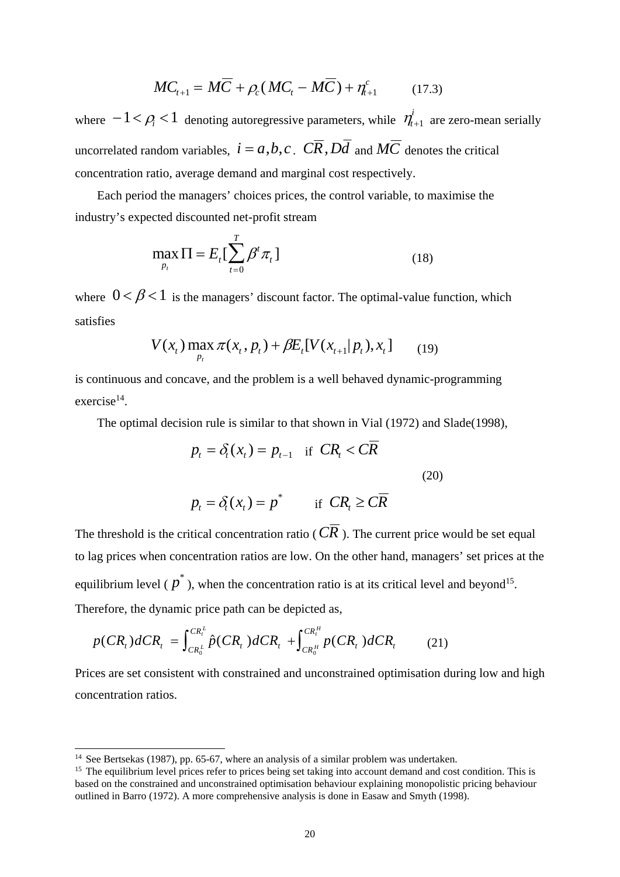$$
MC_{t+1} = M\overline{C} + \rho_c(MC_t - M\overline{C}) + \eta_{t+1}^c \tag{17.3}
$$

where  $-1 < \rho_i < 1$  denoting autoregressive parameters, while  $\eta_{t+1}^i$  are zero-mean serially uncorrelated random variables,  $i = a, b, c$ .  $C\overline{R}$ ,  $D\overline{d}$  and  $M\overline{C}$  denotes the critical concentration ratio, average demand and marginal cost respectively.

Each period the managers' choices prices, the control variable, to maximise the industry's expected discounted net-profit stream

$$
\max_{p_t} \Pi = E_t \left[ \sum_{t=0}^T \beta^t \pi_t \right]
$$
 (18)

where  $0 < \beta < 1$  is the managers' discount factor. The optimal-value function, which satisfies

$$
V(x_t) \max_{p_t} \pi(x_t, p_t) + \beta E_t[V(x_{t+1}|p_t), x_t] \tag{19}
$$

is continuous and concave, and the problem is a well behaved dynamic-programming  $exercise<sup>14</sup>$ .

The optimal decision rule is similar to that shown in Vial (1972) and Slade(1998),

$$
p_{t} = \delta_{t}(x_{t}) = p_{t-1} \quad \text{if} \quad CR_{t} < CR
$$
\n
$$
p_{t} = \delta_{t}(x_{t}) = p^* \qquad \text{if} \quad CR_{t} \geq CR
$$
\n
$$
\tag{20}
$$

The threshold is the critical concentration ratio ( $C\overline{R}$ ). The current price would be set equal to lag prices when concentration ratios are low. On the other hand, managers' set prices at the equilibrium level ( $p^*$ ), when the concentration ratio is at its critical level and beyond<sup>15</sup>. Therefore, the dynamic price path can be depicted as,

$$
p(CR_t)dCR_t = \int_{CR_0^L}^{CR_t^L} \hat{p}(CR_t) dCR_t + \int_{CR_0^H}^{CR_t^H} p(CR_t) dCR_t \qquad (21)
$$

Prices are set consistent with constrained and unconstrained optimisation during low and high concentration ratios.

<sup>&</sup>lt;sup>14</sup> See Bertsekas (1987), pp. 65-67, where an analysis of a similar problem was undertaken.

<sup>&</sup>lt;sup>15</sup> The equilibrium level prices refer to prices being set taking into account demand and cost condition. This is based on the constrained and unconstrained optimisation behaviour explaining monopolistic pricing behaviour outlined in Barro (1972). A more comprehensive analysis is done in Easaw and Smyth (1998).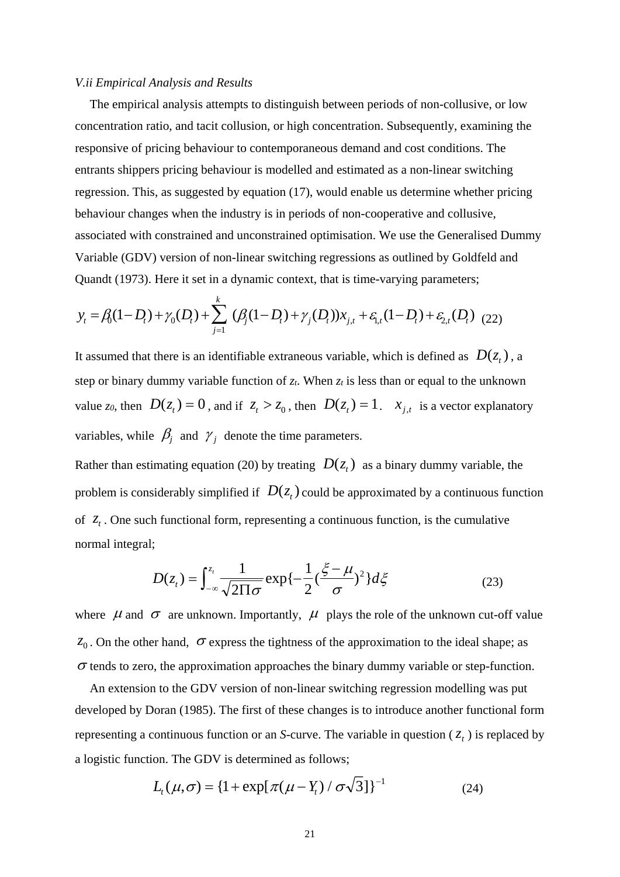#### *V.ii Empirical Analysis and Results*

The empirical analysis attempts to distinguish between periods of non-collusive, or low concentration ratio, and tacit collusion, or high concentration. Subsequently, examining the responsive of pricing behaviour to contemporaneous demand and cost conditions. The entrants shippers pricing behaviour is modelled and estimated as a non-linear switching regression. This, as suggested by equation (17), would enable us determine whether pricing behaviour changes when the industry is in periods of non-cooperative and collusive, associated with constrained and unconstrained optimisation. We use the Generalised Dummy Variable (GDV) version of non-linear switching regressions as outlined by Goldfeld and Quandt (1973). Here it set in a dynamic context, that is time-varying parameters;

$$
y_t = \beta_0(1 - D_t) + \gamma_0(D_t) + \sum_{j=1}^k (\beta_j(1 - D_t) + \gamma_j(D_t))x_{j,t} + \varepsilon_{1,t}(1 - D_t) + \varepsilon_{2,t}(D_t)
$$
 (22)

It assumed that there is an identifiable extraneous variable, which is defined as  $D(z_t)$ , a step or binary dummy variable function of  $z_t$ . When  $z_t$  is less than or equal to the unknown value *zo*, then  $D(z_t) = 0$ , and if  $z_t > z_0$ , then  $D(z_t) = 1$ .  $x_{j,t}$  is a vector explanatory variables, while  $\beta_i$  and  $\gamma_i$  denote the time parameters.

Rather than estimating equation (20) by treating  $D(z_t)$  as a binary dummy variable, the problem is considerably simplified if  $D(z_t)$  could be approximated by a continuous function of  $z_t$ . One such functional form, representing a continuous function, is the cumulative normal integral;

$$
D(z_t) = \int_{-\infty}^{z_t} \frac{1}{\sqrt{2\Pi\sigma}} \exp\{-\frac{1}{2}(\frac{\xi-\mu}{\sigma})^2\} d\xi
$$
 (23)

where  $\mu$  and  $\sigma$  are unknown. Importantly,  $\mu$  plays the role of the unknown cut-off value  $z_0$ . On the other hand,  $\sigma$  express the tightness of the approximation to the ideal shape; as  $\sigma$  tends to zero, the approximation approaches the binary dummy variable or step-function.

An extension to the GDV version of non-linear switching regression modelling was put developed by Doran (1985). The first of these changes is to introduce another functional form representing a continuous function or an *S*-curve. The variable in question ( $z<sub>t</sub>$ ) is replaced by a logistic function. The GDV is determined as follows;

$$
L_t(\mu, \sigma) = \{1 + \exp[\pi(\mu - Y_t) / \sigma \sqrt{3}]\}^{-1}
$$
 (24)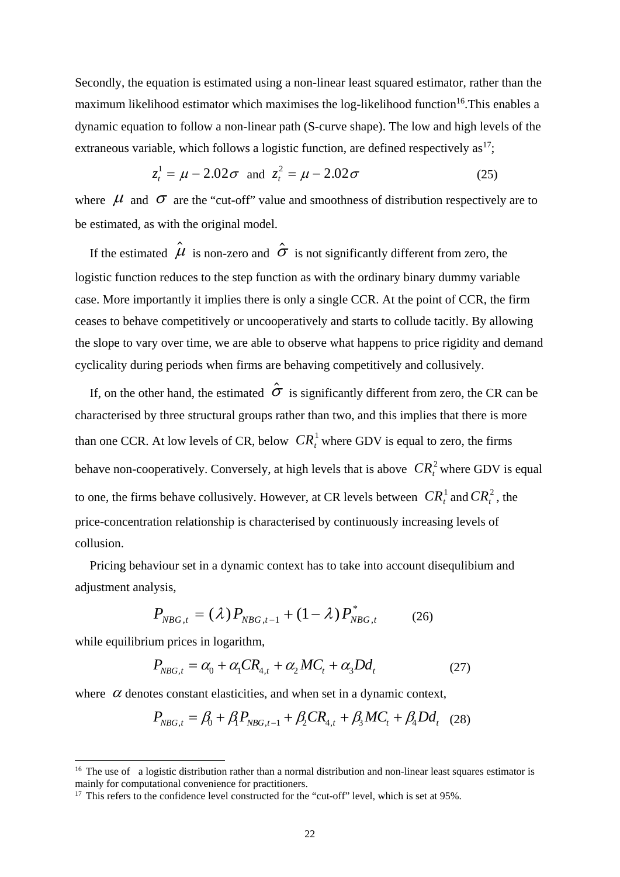Secondly, the equation is estimated using a non-linear least squared estimator, rather than the maximum likelihood estimator which maximises the log-likelihood function<sup>16</sup>. This enables a dynamic equation to follow a non-linear path (S-curve shape). The low and high levels of the extraneous variable, which follows a logistic function, are defined respectively  $as<sup>17</sup>$ ;

$$
z_t^1 = \mu - 2.02\sigma \text{ and } z_t^2 = \mu - 2.02\sigma \tag{25}
$$

where  $\mu$  and  $\sigma$  are the "cut-off" value and smoothness of distribution respectively are to be estimated, as with the original model.

If the estimated  $\hat{\mu}$  is non-zero and  $\hat{\sigma}$  is not significantly different from zero, the logistic function reduces to the step function as with the ordinary binary dummy variable case. More importantly it implies there is only a single CCR. At the point of CCR, the firm ceases to behave competitively or uncooperatively and starts to collude tacitly. By allowing the slope to vary over time, we are able to observe what happens to price rigidity and demand cyclicality during periods when firms are behaving competitively and collusively.

If, on the other hand, the estimated  $\hat{\sigma}$  is significantly different from zero, the CR can be characterised by three structural groups rather than two, and this implies that there is more than one CCR. At low levels of CR, below  $CR_t^1$  where GDV is equal to zero, the firms behave non-cooperatively. Conversely, at high levels that is above  $CR<sub>t</sub><sup>2</sup>$  where GDV is equal to one, the firms behave collusively. However, at CR levels between  $CR_t^1$  and  $CR_t^2$ , the price-concentration relationship is characterised by continuously increasing levels of collusion.

Pricing behaviour set in a dynamic context has to take into account disequlibium and adjustment analysis.

$$
P_{NBG,t} = (\lambda) P_{NBG,t-1} + (1 - \lambda) P_{NBG,t}^{*}
$$
 (26)

while equilibrium prices in logarithm,

-

$$
P_{NBG,t} = \alpha_0 + \alpha_1 CR_{4,t} + \alpha_2 MC_t + \alpha_3 Dd_t
$$
\n(27)

where  $\alpha$  denotes constant elasticities, and when set in a dynamic context,

$$
P_{NBG,t} = \beta_0 + \beta_1 P_{NBG,t-1} + \beta_2 CR_{4,t} + \beta_3 MC_t + \beta_4 Dd_t \quad (28)
$$

 $16$  The use of a logistic distribution rather than a normal distribution and non-linear least squares estimator is mainly for computational convenience for practitioners.<br><sup>17</sup> This refers to the confidence level constructed for the "cut-off" level, which is set at 95%.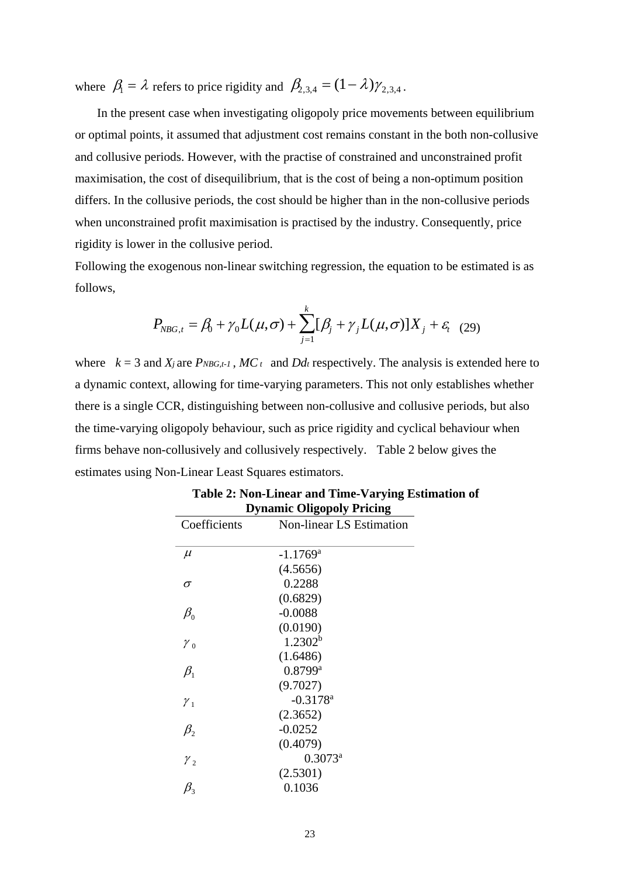where  $\beta_1 = \lambda$  refers to price rigidity and  $\beta_{2,3,4} = (1 - \lambda) \gamma_{2,3,4}$ .

In the present case when investigating oligopoly price movements between equilibrium or optimal points, it assumed that adjustment cost remains constant in the both non-collusive and collusive periods. However, with the practise of constrained and unconstrained profit maximisation, the cost of disequilibrium, that is the cost of being a non-optimum position differs. In the collusive periods, the cost should be higher than in the non-collusive periods when unconstrained profit maximisation is practised by the industry. Consequently, price rigidity is lower in the collusive period.

Following the exogenous non-linear switching regression, the equation to be estimated is as follows,

$$
P_{NBG,t} = \beta_0 + \gamma_0 L(\mu, \sigma) + \sum_{j=1}^{k} [\beta_j + \gamma_j L(\mu, \sigma)] X_j + \varepsilon_{t} \quad (29)
$$

where  $k = 3$  and  $X_i$  are  $P_{NBG,t-1}$ ,  $MC_t$  and  $D_d$  respectively. The analysis is extended here to a dynamic context, allowing for time-varying parameters. This not only establishes whether there is a single CCR, distinguishing between non-collusive and collusive periods, but also the time-varying oligopoly behaviour, such as price rigidity and cyclical behaviour when firms behave non-collusively and collusively respectively. Table 2 below gives the estimates using Non-Linear Least Squares estimators.

| Dynamic Oligopoly Pricing      |                                 |  |  |  |  |
|--------------------------------|---------------------------------|--|--|--|--|
| Coefficients                   | <b>Non-linear LS Estimation</b> |  |  |  |  |
| $\mu$                          | $-1.1769$ <sup>a</sup>          |  |  |  |  |
|                                | (4.5656)                        |  |  |  |  |
| $\sigma$                       | 0.2288                          |  |  |  |  |
|                                | (0.6829)                        |  |  |  |  |
| $\beta_{\scriptscriptstyle 0}$ | $-0.0088$                       |  |  |  |  |
|                                | (0.0190)                        |  |  |  |  |
| $\gamma_{0}$                   | $1.2302^{b}$                    |  |  |  |  |
|                                | (1.6486)                        |  |  |  |  |
| $\beta_{1}$                    | $0.8799$ <sup>a</sup>           |  |  |  |  |
|                                | (9.7027)                        |  |  |  |  |
| $\gamma_{1}$                   | $-0.3178$ <sup>a</sup>          |  |  |  |  |
|                                | (2.3652)                        |  |  |  |  |
| $\beta_{2}$                    | $-0.0252$                       |  |  |  |  |
|                                | (0.4079)                        |  |  |  |  |
| $\gamma_{2}$                   | $0.3073^{\rm a}$                |  |  |  |  |
|                                | (2.5301)                        |  |  |  |  |
| $\beta_{_3}$                   | 0.1036                          |  |  |  |  |
|                                |                                 |  |  |  |  |

| Table 2: Non-Linear and Time-Varying Estimation of |
|----------------------------------------------------|
| <b>Dynamic Oligopoly Pricing</b>                   |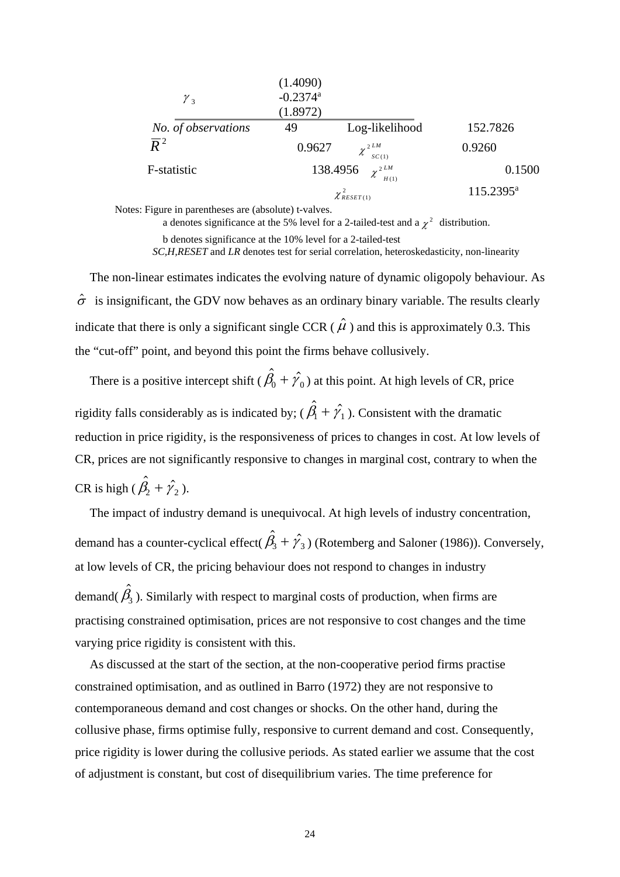|                     | (1.4090)                                   |                       |                       |
|---------------------|--------------------------------------------|-----------------------|-----------------------|
| $\gamma_{3}$        | $-0.2374$ <sup>a</sup>                     |                       |                       |
|                     | (1.8972)                                   |                       |                       |
| No. of observations | 49                                         | Log-likelihood        | 152.7826              |
| $\overline{R}^2$    | 0.9627                                     | $\chi^{2LM}$<br>SC(1) | 0.9260                |
| F-statistic         | 138.4956<br>$\chi^2$ <sup>LM</sup><br>H(1) |                       | 0.1500                |
|                     |                                            | $\chi^2_{RESET(1)}$   | 115.2395 <sup>a</sup> |

Notes: Figure in parentheses are (absolute) t-valves.

a denotes significance at the 5% level for a 2-tailed-test and a  $\gamma^2$  distribution. b denotes significance at the 10% level for a 2-tailed-test *SC,H,RESET* and *LR* denotes test for serial correlation, heteroskedasticity, non-linearity

The non-linear estimates indicates the evolving nature of dynamic oligopoly behaviour. As  $\hat{\sigma}$  is insignificant, the GDV now behaves as an ordinary binary variable. The results clearly indicate that there is only a significant single CCR ( $\hat{\mu}$ ) and this is approximately 0.3. This the "cut-off" point, and beyond this point the firms behave collusively.

There is a positive intercept shift ( $\hat{\beta}_0 + \hat{\gamma}_0$ ) at this point. At high levels of CR, price rigidity falls considerably as is indicated by;  $(\hat{\beta_1} + \hat{\gamma_1})$ . Consistent with the dramatic reduction in price rigidity, is the responsiveness of prices to changes in cost. At low levels of CR, prices are not significantly responsive to changes in marginal cost, contrary to when the CR is high ( $\hat{\beta}_2 + \hat{\gamma}_2$ ).

The impact of industry demand is unequivocal. At high levels of industry concentration, demand has a counter-cyclical effect( $\hat{\beta}_3 + \hat{\gamma}_3$ ) (Rotemberg and Saloner (1986)). Conversely, at low levels of CR, the pricing behaviour does not respond to changes in industry demand( $\hat{\beta}_3$ ). Similarly with respect to marginal costs of production, when firms are practising constrained optimisation, prices are not responsive to cost changes and the time varying price rigidity is consistent with this.

As discussed at the start of the section, at the non-cooperative period firms practise constrained optimisation, and as outlined in Barro (1972) they are not responsive to contemporaneous demand and cost changes or shocks. On the other hand, during the collusive phase, firms optimise fully, responsive to current demand and cost. Consequently, price rigidity is lower during the collusive periods. As stated earlier we assume that the cost of adjustment is constant, but cost of disequilibrium varies. The time preference for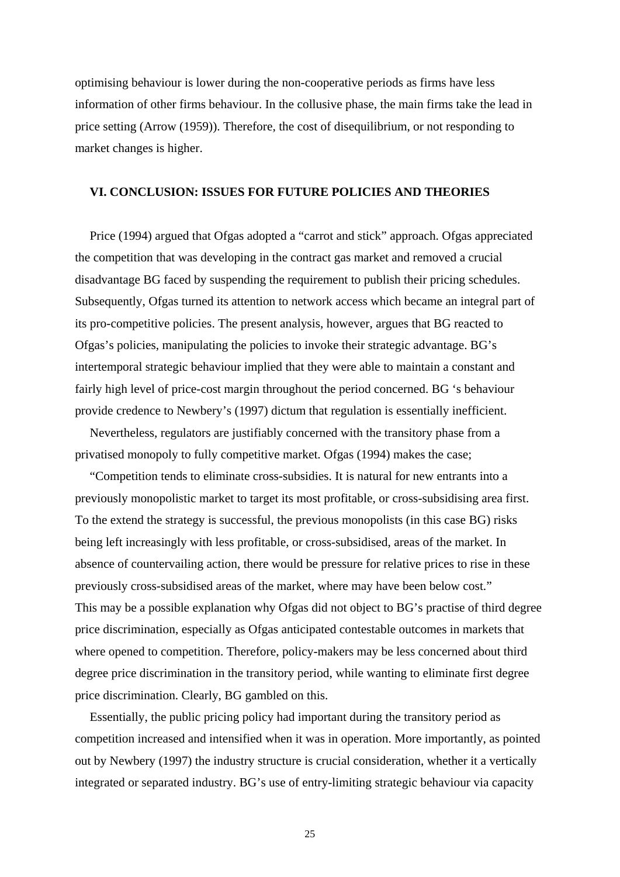optimising behaviour is lower during the non-cooperative periods as firms have less information of other firms behaviour. In the collusive phase, the main firms take the lead in price setting (Arrow (1959)). Therefore, the cost of disequilibrium, or not responding to market changes is higher.

## **VI. CONCLUSION: ISSUES FOR FUTURE POLICIES AND THEORIES**

Price (1994) argued that Ofgas adopted a "carrot and stick" approach. Ofgas appreciated the competition that was developing in the contract gas market and removed a crucial disadvantage BG faced by suspending the requirement to publish their pricing schedules. Subsequently, Ofgas turned its attention to network access which became an integral part of its pro-competitive policies. The present analysis, however, argues that BG reacted to Ofgas's policies, manipulating the policies to invoke their strategic advantage. BG's intertemporal strategic behaviour implied that they were able to maintain a constant and fairly high level of price-cost margin throughout the period concerned. BG 's behaviour provide credence to Newbery's (1997) dictum that regulation is essentially inefficient.

Nevertheless, regulators are justifiably concerned with the transitory phase from a privatised monopoly to fully competitive market. Ofgas (1994) makes the case;

"Competition tends to eliminate cross-subsidies. It is natural for new entrants into a previously monopolistic market to target its most profitable, or cross-subsidising area first. To the extend the strategy is successful, the previous monopolists (in this case BG) risks being left increasingly with less profitable, or cross-subsidised, areas of the market. In absence of countervailing action, there would be pressure for relative prices to rise in these previously cross-subsidised areas of the market, where may have been below cost." This may be a possible explanation why Ofgas did not object to BG's practise of third degree price discrimination, especially as Ofgas anticipated contestable outcomes in markets that where opened to competition. Therefore, policy-makers may be less concerned about third degree price discrimination in the transitory period, while wanting to eliminate first degree price discrimination. Clearly, BG gambled on this.

Essentially, the public pricing policy had important during the transitory period as competition increased and intensified when it was in operation. More importantly, as pointed out by Newbery (1997) the industry structure is crucial consideration, whether it a vertically integrated or separated industry. BG's use of entry-limiting strategic behaviour via capacity

25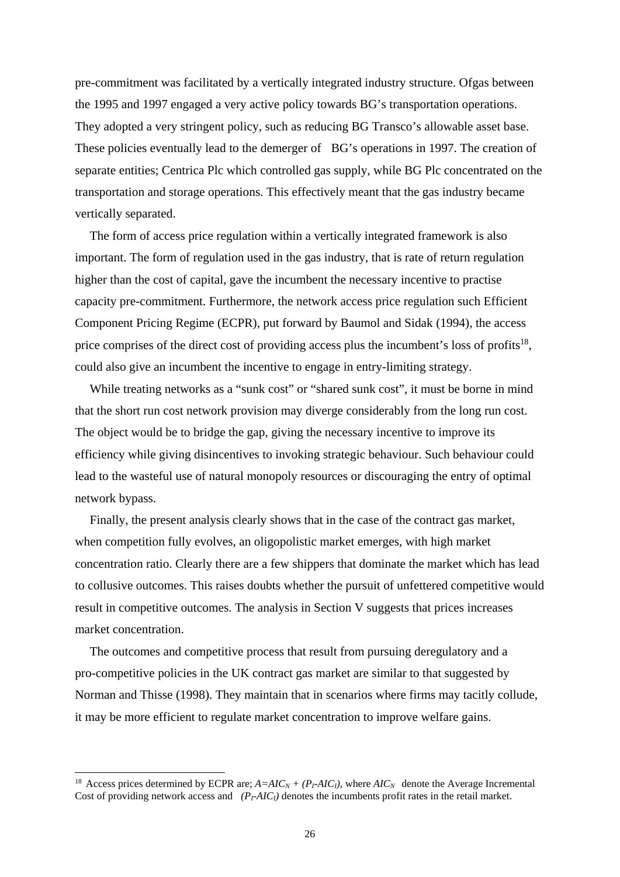pre-commitment was facilitated by a vertically integrated industry structure. Ofgas between the 1995 and 1997 engaged a very active policy towards BG's transportation operations. They adopted a very stringent policy, such as reducing BG Transco's allowable asset base. These policies eventually lead to the demerger of BG's operations in 1997. The creation of separate entities; Centrica Plc which controlled gas supply, while BG Plc concentrated on the transportation and storage operations. This effectively meant that the gas industry became vertically separated.

The form of access price regulation within a vertically integrated framework is also important. The form of regulation used in the gas industry, that is rate of return regulation higher than the cost of capital, gave the incumbent the necessary incentive to practise capacity pre-commitment. Furthermore, the network access price regulation such Efficient Component Pricing Regime (ECPR), put forward by Baumol and Sidak (1994), the access price comprises of the direct cost of providing access plus the incumbent's loss of profits<sup>18</sup>, could also give an incumbent the incentive to engage in entry-limiting strategy.

While treating networks as a "sunk cost" or "shared sunk cost", it must be borne in mind that the short run cost network provision may diverge considerably from the long run cost. The object would be to bridge the gap, giving the necessary incentive to improve its efficiency while giving disincentives to invoking strategic behaviour. Such behaviour could lead to the wasteful use of natural monopoly resources or discouraging the entry of optimal network bypass.

Finally, the present analysis clearly shows that in the case of the contract gas market, when competition fully evolves, an oligopolistic market emerges, with high market concentration ratio. Clearly there are a few shippers that dominate the market which has lead to collusive outcomes. This raises doubts whether the pursuit of unfettered competitive would result in competitive outcomes. The analysis in Section V suggests that prices increases market concentration.

The outcomes and competitive process that result from pursuing deregulatory and a pro-competitive policies in the UK contract gas market are similar to that suggested by Norman and Thisse (1998). They maintain that in scenarios where firms may tacitly collude, it may be more efficient to regulate market concentration to improve welfare gains.

<sup>&</sup>lt;sup>18</sup> Access prices determined by ECPR are;  $A = AIC_N + (P_I - AIC_I)$ , where  $AIC_N$  denote the Average Incremental Cost of providing network access and  $(P_I - AIC_I)$  denotes the incumbents profit rates in the retail market.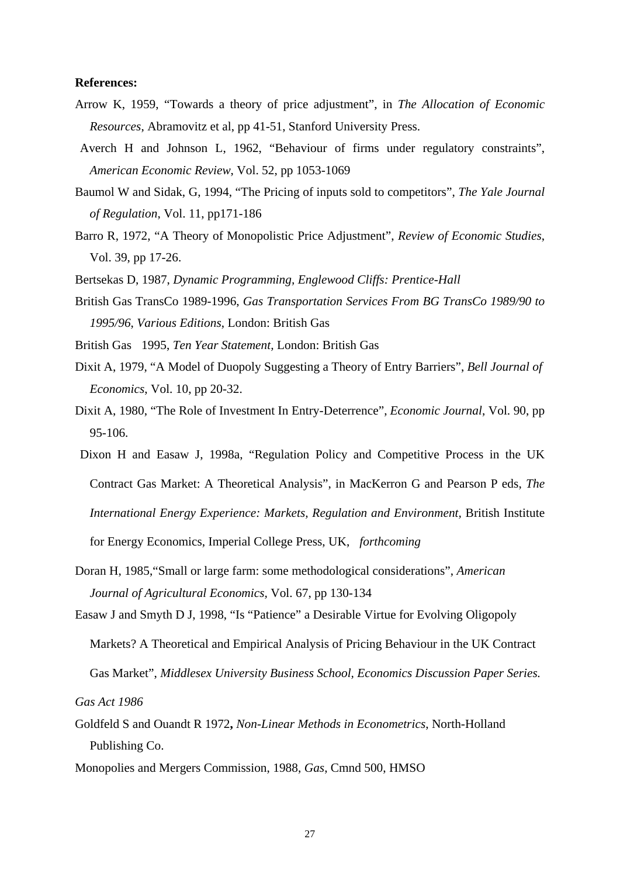#### **References:**

- Arrow K, 1959, "Towards a theory of price adjustment", in *The Allocation of Economic Resources*, Abramovitz et al, pp 41-51, Stanford University Press.
- Averch H and Johnson L, 1962, "Behaviour of firms under regulatory constraints", *American Economic Review*, Vol. 52, pp 1053-1069
- Baumol W and Sidak, G, 1994, "The Pricing of inputs sold to competitors", *The Yale Journal of Regulation*, Vol. 11, pp171-186
- Barro R, 1972, "A Theory of Monopolistic Price Adjustment", *Review of Economic Studies*, Vol. 39, pp 17-26.
- Bertsekas D, 1987, *Dynamic Programming, Englewood Cliffs: Prentice-Hall*
- British Gas TransCo 1989-1996, *Gas Transportation Services From BG TransCo 1989/90 to 1995/96*, *Various Editions*, London: British Gas
- British Gas 1995, *Ten Year Statement,* London: British Gas
- Dixit A, 1979, "A Model of Duopoly Suggesting a Theory of Entry Barriers", *Bell Journal of Economics*, Vol. 10, pp 20-32.
- Dixit A, 1980, "The Role of Investment In Entry-Deterrence", *Economic Journal*, Vol. 90, pp 95-106.
- Dixon H and Easaw J, 1998a, "Regulation Policy and Competitive Process in the UK Contract Gas Market: A Theoretical Analysis", in MacKerron G and Pearson P eds, *The International Energy Experience: Markets, Regulation and Environment,* British Institute for Energy Economics, Imperial College Press, UK, *forthcoming*
- Doran H, 1985,"Small or large farm: some methodological considerations", *American Journal of Agricultural Economics,* Vol. 67, pp 130-134
- Easaw J and Smyth D J, 1998, "Is "Patience" a Desirable Virtue for Evolving Oligopoly
	- Markets? A Theoretical and Empirical Analysis of Pricing Behaviour in the UK Contract

Gas Market", *Middlesex University Business School, Economics Discussion Paper Series.* 

*Gas Act 1986* 

- Goldfeld S and Ouandt R 1972**,** *Non-Linear Methods in Econometrics*, North-Holland Publishing Co.
- Monopolies and Mergers Commission, 1988, *Gas*, Cmnd 500, HMSO